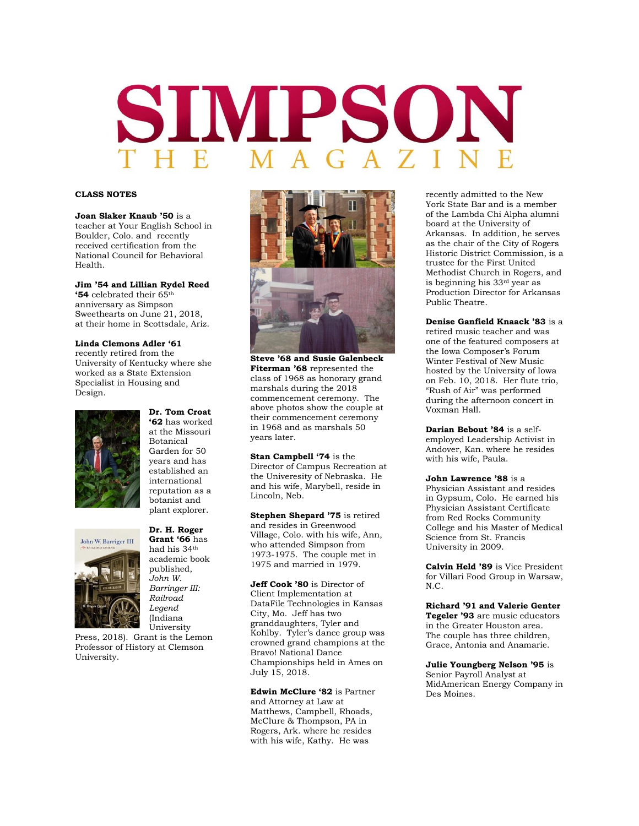# SIMPSON

# **CLASS NOTES**

**Joan Slaker Knaub '50** is a teacher at Your English School in Boulder, Colo. and recently received certification from the National Council for Behavioral Health.

# **Jim '54 and Lillian Rydel Reed**

**'54** celebrated their 65th anniversary as Simpson Sweethearts on June 21, 2018, at their home in Scottsdale, Ariz.

## **Linda Clemons Adler '61**

recently retired from the University of Kentucky where she worked as a State Extension Specialist in Housing and Design.



John W. Barriger III

**'62** has worked at the Missouri Botanical Garden for 50 years and has established an international reputation as a botanist and plant explorer.

**Dr. Tom Croat** 

### **Dr. H. Roger Grant '66** has had his 34th academic book published,

*John W. Barringer III: Railroad Legend*  (Indiana University

Press, 2018). Grant is the Lemon Professor of History at Clemson University.



**Steve '68 and Susie Galenbeck Fiterman '68** represented the class of 1968 as honorary grand marshals during the 2018 commencement ceremony. The above photos show the couple at their commencement ceremony in 1968 and as marshals 50 years later.

**Stan Campbell '74** is the Director of Campus Recreation at the Univeresity of Nebraska. He and his wife, Marybell, reside in Lincoln, Neb.

**Stephen Shepard '75** is retired and resides in Greenwood Village, Colo. with his wife, Ann, who attended Simpson from 1973-1975. The couple met in 1975 and married in 1979.

**Jeff Cook '80** is Director of Client Implementation at DataFile Technologies in Kansas City, Mo. Jeff has two granddaughters, Tyler and Kohlby. Tyler's dance group was crowned grand champions at the Bravo! National Dance Championships held in Ames on July 15, 2018.

**Edwin McClure '82** is Partner and Attorney at Law at Matthews, Campbell, Rhoads, McClure & Thompson, PA in Rogers, Ark. where he resides with his wife, Kathy. He was

recently admitted to the New York State Bar and is a member of the Lambda Chi Alpha alumni board at the University of Arkansas. In addition, he serves as the chair of the City of Rogers Historic District Commission, is a trustee for the First United Methodist Church in Rogers, and is beginning his 33rd year as Production Director for Arkansas Public Theatre.

**Denise Ganfield Knaack '83** is a retired music teacher and was one of the featured composers at the Iowa Composer's Forum Winter Festival of New Music hosted by the University of Iowa on Feb. 10, 2018. Her flute trio, "Rush of Air" was performed during the afternoon concert in Voxman Hall.

**Darian Bebout '84** is a selfemployed Leadership Activist in Andover, Kan. where he resides with his wife, Paula.

**John Lawrence '88** is a Physician Assistant and resides in Gypsum, Colo. He earned his Physician Assistant Certificate from Red Rocks Community College and his Master of Medical Science from St. Francis University in 2009.

**Calvin Held '89** is Vice President for Villari Food Group in Warsaw, N.C.

**Richard '91 and Valerie Genter Tegeler '93** are music educators in the Greater Houston area. The couple has three children, Grace, Antonia and Anamarie.

# **Julie Youngberg Nelson '95** is

Senior Payroll Analyst at MidAmerican Energy Company in Des Moines.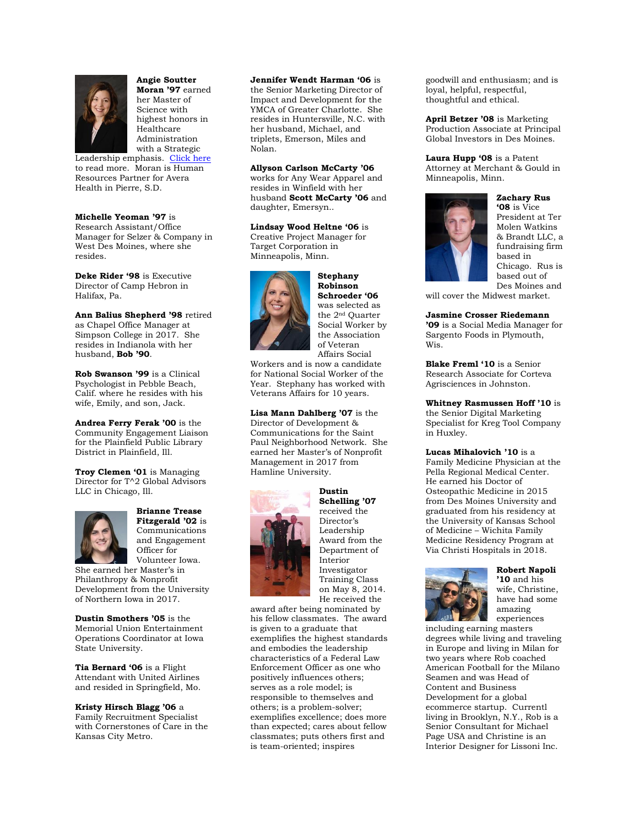

**Angie Soutter Moran '97** earned her Master of Science with highest honors in Healthcare Administration with a Strategic

Leadership emphasis. [Click here](https://www.valpoonline.com/resources/student-spotlights/angie-moran-ms-healthcare-administration/#.W4bDvMInaM9) to read more. Moran is Human Resources Partner for Avera Health in Pierre, S.D.

# **Michelle Yeoman '97** is

Research Assistant/Office Manager for Selzer & Company in West Des Moines, where she resides.

**Deke Rider '98** is Executive Director of Camp Hebron in Halifax, Pa.

**Ann Balius Shepherd '98** retired as Chapel Office Manager at Simpson College in 2017. She resides in Indianola with her husband, **Bob '90**.

**Rob Swanson '99** is a Clinical Psychologist in Pebble Beach, Calif. where he resides with his wife, Emily, and son, Jack.

**Andrea Ferry Ferak '00** is the Community Engagement Liaison for the Plainfield Public Library District in Plainfield, Ill.

**Troy Clemen '01** is Managing Director for T^2 Global Advisors LLC in Chicago, Ill.



**Brianne Trease Fitzgerald '02** is Communications and Engagement Officer for Volunteer Iowa.

She earned her Master's in Philanthropy & Nonprofit Development from the University of Northern Iowa in 2017.

**Dustin Smothers '05** is the Memorial Union Entertainment Operations Coordinator at Iowa State University.

**Tia Bernard '06** is a Flight Attendant with United Airlines and resided in Springfield, Mo.

**Kristy Hirsch Blagg '06** a

Family Recruitment Specialist with Cornerstones of Care in the Kansas City Metro.

# **Jennifer Wendt Harman '06** is

the Senior Marketing Director of Impact and Development for the YMCA of Greater Charlotte. She resides in Huntersville, N.C. with her husband, Michael, and triplets, Emerson, Miles and Nolan.

# **Allyson Carlson McCarty '06**

works for Any Wear Apparel and resides in Winfield with her husband **Scott McCarty '06** and daughter, Emersyn..

**Lindsay Wood Heltne '06** is Creative Project Manager for Target Corporation in Minneapolis, Minn.



**Stephany Robinson Schroeder '06** was selected as the 2nd Quarter Social Worker by the Association of Veteran Affairs Social

Workers and is now a candidate for National Social Worker of the Year. Stephany has worked with Veterans Affairs for 10 years.

**Lisa Mann Dahlberg '07** is the Director of Development & Communications for the Saint Paul Neighborhood Network. She earned her Master's of Nonprofit Management in 2017 from Hamline University.



**Dustin Schelling '07**  received the Director's Leadership Award from the Department of Interior Investigator Training Class on May 8, 2014. He received the

award after being nominated by his fellow classmates. The award is given to a graduate that exemplifies the highest standards and embodies the leadership characteristics of a Federal Law Enforcement Officer as one who positively influences others; serves as a role model; is responsible to themselves and others; is a problem-solver; exemplifies excellence; does more than expected; cares about fellow classmates; puts others first and is team-oriented; inspires

goodwill and enthusiasm; and is loyal, helpful, respectful, thoughtful and ethical.

**April Betzer '08** is Marketing Production Associate at Principal Global Investors in Des Moines.

**Laura Hupp '08** is a Patent Attorney at Merchant & Gould in Minneapolis, Minn.



**Zachary Rus '08** is Vice President at Ter Molen Watkins & Brandt LLC, a fundraising firm based in Chicago. Rus is based out of Des Moines and

will cover the Midwest market.

### **Jasmine Crosser Riedemann**

**'09** is a Social Media Manager for Sargento Foods in Plymouth, Wis.

**Blake Freml '10** is a Senior Research Associate for Corteva Agrisciences in Johnston.

**Whitney Rasmussen Hoff '10** is the Senior Digital Marketing Specialist for Kreg Tool Company in Huxley.

**Lucas Mihalovich '10** is a Family Medicine Physician at the Pella Regional Medical Center. He earned his Doctor of Osteopathic Medicine in 2015 from Des Moines University and graduated from his residency at the University of Kansas School of Medicine – Wichita Family Medicine Residency Program at Via Christi Hospitals in 2018.



**Robert Napoli '10** and his wife, Christine, have had some amazing

experiences

including earning masters degrees while living and traveling in Europe and living in Milan for two years where Rob coached American Football for the Milano Seamen and was Head of Content and Business Development for a global ecommerce startup. Currentl living in Brooklyn, N.Y., Rob is a Senior Consultant for Michael Page USA and Christine is an Interior Designer for Lissoni Inc.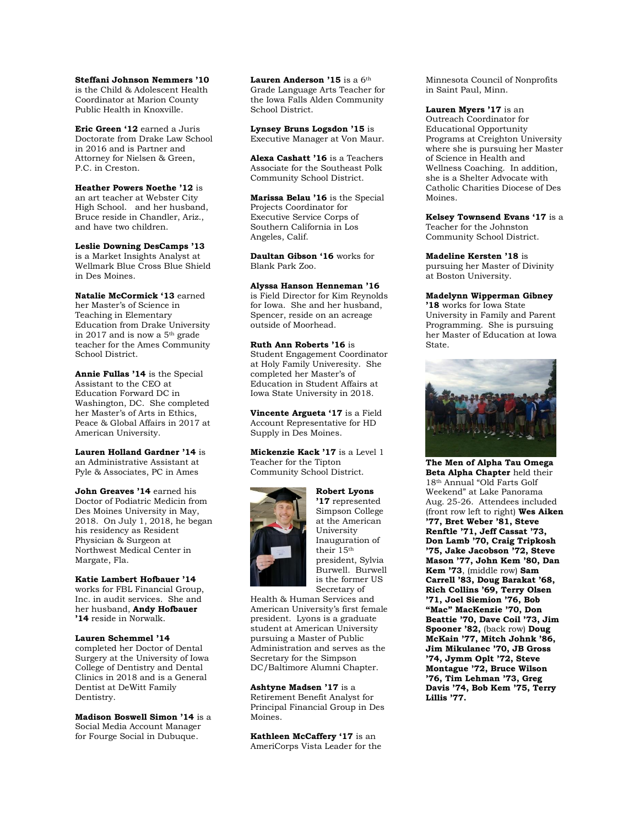**Steffani Johnson Nemmers '10**  is the Child & Adolescent Health Coordinator at Marion County Public Health in Knoxville.

**Eric Green '12** earned a Juris Doctorate from Drake Law School in 2016 and is Partner and Attorney for Nielsen & Green, P.C. in Creston.

**Heather Powers Noethe '12** is an art teacher at Webster City High School. and her husband, Bruce reside in Chandler, Ariz., and have two children.

**Leslie Downing DesCamps '13**  is a Market Insights Analyst at Wellmark Blue Cross Blue Shield in Des Moines.

**Natalie McCormick '13** earned her Master's of Science in Teaching in Elementary Education from Drake University in 2017 and is now a 5th grade teacher for the Ames Community School District.

**Annie Fullas '14** is the Special Assistant to the CEO at Education Forward DC in Washington, DC. She completed her Master's of Arts in Ethics, Peace & Global Affairs in 2017 at American University.

**Lauren Holland Gardner '14** is an Administrative Assistant at Pyle & Associates, PC in Ames

**John Greaves '14** earned his Doctor of Podiatric Medicin from Des Moines University in May, 2018. On July 1, 2018, he began his residency as Resident Physician & Surgeon at Northwest Medical Center in Margate, Fla.

**Katie Lambert Hofbauer '14**  works for FBL Financial Group, Inc. in audit services. She and her husband, **Andy Hofbauer '14** reside in Norwalk.

**Lauren Schemmel '14**  completed her Doctor of Dental Surgery at the University of Iowa College of Dentistry and Dental Clinics in 2018 and is a General Dentist at DeWitt Family Dentistry.

**Madison Boswell Simon '14** is a Social Media Account Manager for Fourge Social in Dubuque.

Lauren Anderson '15 is a 6<sup>th</sup> Grade Language Arts Teacher for the Iowa Falls Alden Community School District.

**Lynsey Bruns Logsdon '15** is Executive Manager at Von Maur.

**Alexa Cashatt '16** is a Teachers Associate for the Southeast Polk Community School District.

**Marissa Belau '16** is the Special Projects Coordinator for Executive Service Corps of Southern California in Los Angeles, Calif.

**Daultan Gibson '16** works for Blank Park Zoo.

**Alyssa Hanson Henneman '16**  is Field Director for Kim Reynolds for Iowa. She and her husband, Spencer, reside on an acreage outside of Moorhead.

**Ruth Ann Roberts '16** is Student Engagement Coordinator at Holy Family Univeresity. She completed her Master's of Education in Student Affairs at Iowa State University in 2018.

**Vincente Argueta '17** is a Field Account Representative for HD Supply in Des Moines.

**Mickenzie Kack '17** is a Level 1 Teacher for the Tipton Community School District.



**Robert Lyons '17** represented Simpson College at the American University Inauguration of their 15th president, Sylvia Burwell. Burwell is the former US Secretary of

Health & Human Services and American University's first female president. Lyons is a graduate student at American University pursuing a Master of Public Administration and serves as the Secretary for the Simpson DC/Baltimore Alumni Chapter.

**Ashtyne Madsen '17** is a Retirement Benefit Analyst for Principal Financial Group in Des Moines.

**Kathleen McCaffery '17** is an AmeriCorps Vista Leader for the Minnesota Council of Nonprofits in Saint Paul, Minn.

**Lauren Myers '17** is an Outreach Coordinator for Educational Opportunity Programs at Creighton University where she is pursuing her Master of Science in Health and Wellness Coaching. In addition, she is a Shelter Advocate with Catholic Charities Diocese of Des Moines.

**Kelsey Townsend Evans '17** is a Teacher for the Johnston Community School District.

**Madeline Kersten '18** is pursuing her Master of Divinity at Boston University.

**Madelynn Wipperman Gibney '18** works for Iowa State

University in Family and Parent Programming. She is pursuing her Master of Education at Iowa State.



**The Men of Alpha Tau Omega Beta Alpha Chapter** held their 18th Annual "Old Farts Golf Weekend" at Lake Panorama Aug. 25-26. Attendees included (front row left to right) **Wes Aiken '77, Bret Weber '81, Steve Renftle '71, Jeff Cassat '73, Don Lamb '70, Craig Tripkosh '75, Jake Jacobson '72, Steve Mason '77, John Kem '80, Dan Kem '73**, (middle row) **Sam Carrell '83, Doug Barakat '68, Rich Collins '69, Terry Olsen '71, Joel Siemion '76, Bob "Mac" MacKenzie '70, Don Beattie '70, Dave Coil '73, Jim Spooner '82,** (back row) **Doug McKain '77, Mitch Johnk '86, Jim Mikulanec '70, JB Gross '74, Jymm Oplt '72, Steve Montague '72, Bruce Wilson '76, Tim Lehman '73, Greg Davis '74, Bob Kem '75, Terry Lillis '77.**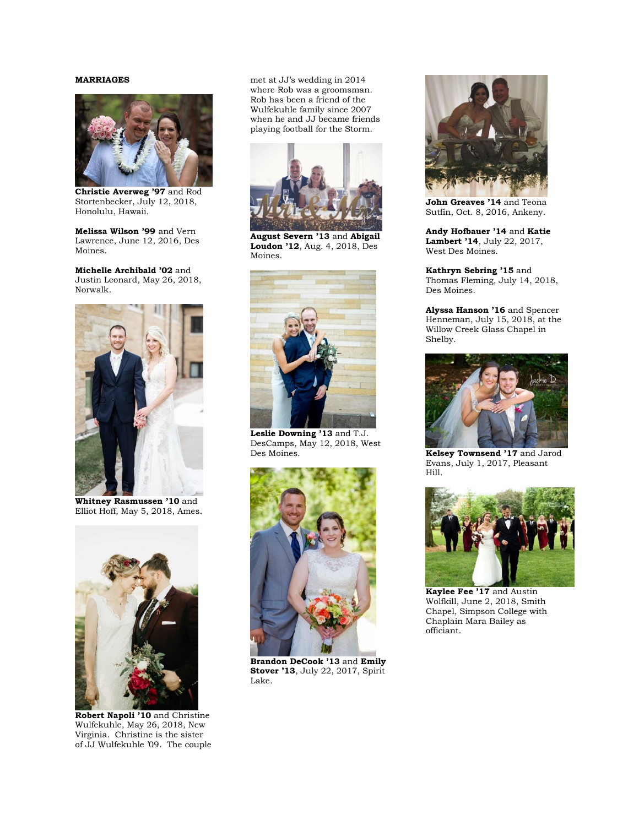# **MARRIAGES**



**Christie Averweg '97** and Rod Stortenbecker, July 12, 2018, Honolulu, Hawaii.

**Melissa Wilson '99** and Vern Lawrence, June 12, 2016, Des Moines.

**Michelle Archibald '02** and Justin Leonard, May 26, 2018, Norwalk.



**Whitney Rasmussen '10** and Elliot Hoff, May 5, 2018, Ames.



**Robert Napoli '10** and Christine Wulfekuhle, May 26, 2018, New Virginia. Christine is the sister of JJ Wulfekuhle '09. The couple

met at JJ's wedding in 2014 where Rob was a groomsman. Rob has been a friend of the Wulfekuhle family since 2007 when he and JJ became friends playing football for the Storm.



**August Severn '13** and **Abigail Loudon '12**, Aug. 4, 2018, Des Moines.



**Leslie Downing '13** and T.J. DesCamps, May 12, 2018, West Des Moines.



**Brandon DeCook '13** and **Emily Stover '13**, July 22, 2017, Spirit Lake.



**John Greaves '14** and Teona Sutfin, Oct. 8, 2016, Ankeny.

**Andy Hofbauer '14** and **Katie Lambert '14**, July 22, 2017, West Des Moines.

**Kathryn Sebring '15** and Thomas Fleming, July 14, 2018, Des Moines.

**Alyssa Hanson '16** and Spencer Henneman, July 15, 2018, at the Willow Creek Glass Chapel in Shelby.



**Kelsey Townsend '17** and Jarod Evans, July 1, 2017, Pleasant Hill.



**Kaylee Fee '17** and Austin Wolfkill, June 2, 2018, Smith Chapel, Simpson College with Chaplain Mara Bailey as officiant.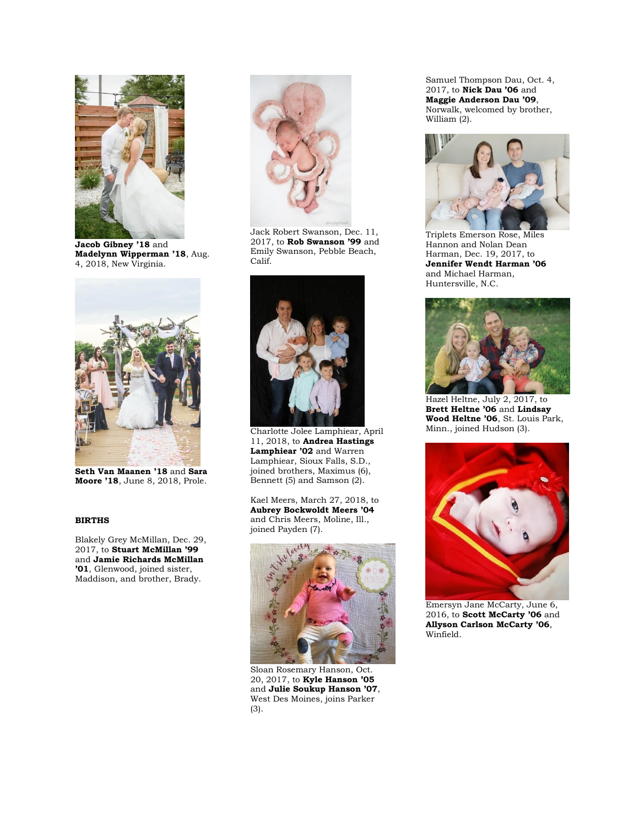

**Jacob Gibney '18** and **Madelynn Wipperman '18**, Aug. 4, 2018, New Virginia.



**Seth Van Maanen '18** and **Sara Moore '18**, June 8, 2018, Prole.

### **BIRTHS**

Blakely Grey McMillan, Dec. 29, 2017, to **Stuart McMillan '99**  and **Jamie Richards McMillan '01**, Glenwood, joined sister, Maddison, and brother, Brady.



Jack Robert Swanson, Dec. 11, 2017, to **Rob Swanson '99** and Emily Swanson, Pebble Beach, Calif.



Charlotte Jolee Lamphiear, April 11, 2018, to **Andrea Hastings Lamphiear '02** and Warren Lamphiear, Sioux Falls, S.D., joined brothers, Maximus (6), Bennett (5) and Samson (2).

Kael Meers, March 27, 2018, to **Aubrey Bockwoldt Meers '04** and Chris Meers, Moline, Ill., joined Payden (7).



Sloan Rosemary Hanson, Oct. 20, 2017, to **Kyle Hanson '05**  and **Julie Soukup Hanson '07**, West Des Moines, joins Parker (3).

Samuel Thompson Dau, Oct. 4, 2017, to **Nick Dau '06** and **Maggie Anderson Dau '09**, Norwalk, welcomed by brother, William (2).



Triplets Emerson Rose, Miles Hannon and Nolan Dean Harman, Dec. 19, 2017, to **Jennifer Wendt Harman '06**  and Michael Harman, Huntersville, N.C.



Hazel Heltne, July 2, 2017, to **Brett Heltne '06** and **Lindsay Wood Heltne '06**, St. Louis Park, Minn., joined Hudson (3).



Emersyn Jane McCarty, June 6, 2016, to **Scott McCarty '06** and **Allyson Carlson McCarty '06**, Winfield.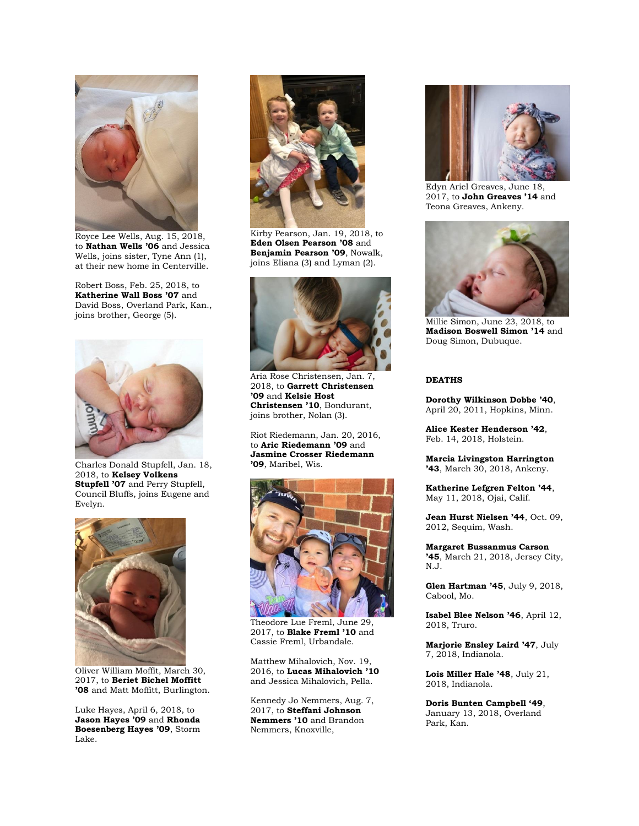

Royce Lee Wells, Aug. 15, 2018, to **Nathan Wells '06** and Jessica Wells, joins sister, Tyne Ann (1), at their new home in Centerville.

Robert Boss, Feb. 25, 2018, to **Katherine Wall Boss '07** and David Boss, Overland Park, Kan., joins brother, George (5).



Charles Donald Stupfell, Jan. 18, 2018, to **Kelsey Volkens Stupfell '07** and Perry Stupfell, Council Bluffs, joins Eugene and Evelyn.



Oliver William Moffit, March 30, 2017, to **Beriet Bichel Moffitt '08** and Matt Moffitt, Burlington.

Luke Hayes, April 6, 2018, to **Jason Hayes '09** and **Rhonda Boesenberg Hayes '09**, Storm Lake.



Kirby Pearson, Jan. 19, 2018, to **Eden Olsen Pearson '08** and **Benjamin Pearson '09**, Nowalk, joins Eliana (3) and Lyman (2).



Aria Rose Christensen, Jan. 7, 2018, to **Garrett Christensen '09** and **Kelsie Host Christensen '10**, Bondurant, joins brother, Nolan (3).

Riot Riedemann, Jan. 20, 2016, to **Aric Riedemann '09** and **Jasmine Crosser Riedemann '09**, Maribel, Wis.



Theodore Lue Freml, June 29, 2017, to **Blake Freml '10** and Cassie Freml, Urbandale.

Matthew Mihalovich, Nov. 19, 2016, to **Lucas Mihalovich '10** and Jessica Mihalovich, Pella.

Kennedy Jo Nemmers, Aug. 7, 2017, to **Steffani Johnson Nemmers '10** and Brandon Nemmers, Knoxville,



Edyn Ariel Greaves, June 18, 2017, to **John Greaves '14** and Teona Greaves, Ankeny.



Millie Simon, June 23, 2018, to **Madison Boswell Simon '14** and Doug Simon, Dubuque.

# **DEATHS**

**Dorothy Wilkinson Dobbe '40**, April 20, 2011, Hopkins, Minn.

**Alice Kester Henderson '42**, Feb. 14, 2018, Holstein.

**Marcia Livingston Harrington '43**, March 30, 2018, Ankeny.

**Katherine Lefgren Felton '44**, May 11, 2018, Ojai, Calif.

**Jean Hurst Nielsen '44**, Oct. 09, 2012, Sequim, Wash.

**Margaret Bussanmus Carson '45**, March 21, 2018, Jersey City, N.J.

**Glen Hartman '45**, July 9, 2018, Cabool, Mo.

**Isabel Blee Nelson '46**, April 12, 2018, Truro.

**Marjorie Ensley Laird '47**, July 7, 2018, Indianola.

**Lois Miller Hale '48**, July 21, 2018, Indianola.

**Doris Bunten Campbell '49**, January 13, 2018, Overland Park, Kan.